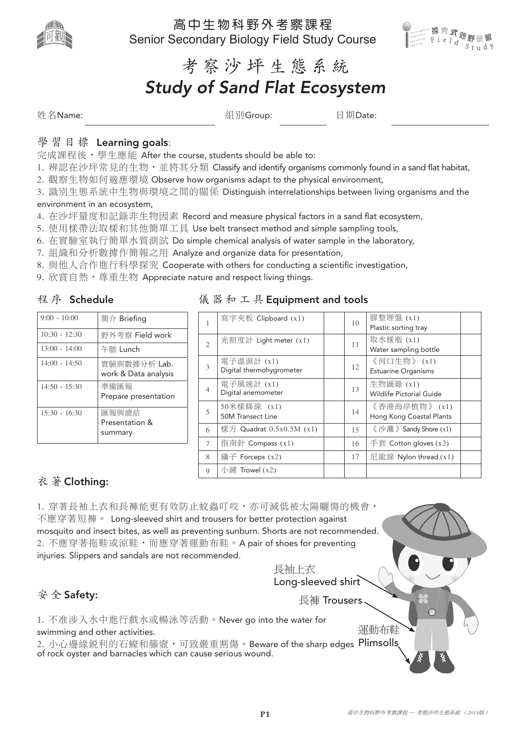

高中生物科野外考察課程 Senior Secondary Biology Field Study Course



考 察 沙 坪 生態系統

# *Study of Sand Flat Ecosystem*

姓名Name: 組別Group: 日期Date:

### 學習目標 Learning goals:

完成課程後, 學生應能 After the course, students should be able to:

- 1. 辨認在沙坪常見的生物, 並將其分類 Classify and identify organisms commonly found in a sand flat habitat,
- 2. 觀察生物如何適應環境 Observe how organisms adapt to the physical environment,

3. 識別生態系統中生物與環境之間的關係 Distinguish interrelationships between living organisms and the environment in an ecosystem,

- 4. 在沙坪量度和記錄非生物因素 Record and measure physical factors in a sand flat ecosystem,
- 5. 使用樣帶法取樣和其他簡單工具 Use belt transect method and simple sampling tools,
- 6. 在實驗室執行簡單水質測試 Do simple chemical analysis of water sample in the laboratory,
- 7. 組織和分析數據作簡報之用 Analyze and organize data for presentation,
- 8. 與他人合作進行科學探究 Cooperate with others for conducting a scientific investigation,
- 9. 欣賞自然, 尊重生物 Appreciate nature and respect living things.

### 程序 Schedule

9:00 - 10:00 | 簡介 Briefing

13:00 - 14:00 牛膳 Lunch

14:50 - 15:30 準備匯報

15:30 - 16:30 | 匯報與總結

10:30 - 12:30 | 野外考察 Field work

14:00 - 14:50 | 實驗與數據分析 Lab.

work & Data analysis

Prepare presentation

Presentation & summary

|  |  |  |  |  |  | 儀器和工具 Equipment and tools |  |  |  |  |
|--|--|--|--|--|--|---------------------------|--|--|--|--|
|--|--|--|--|--|--|---------------------------|--|--|--|--|

|                             | 寫字夾板 Clipboard (x1)                    | 10 | 膠整理盤 (x1)<br>Plastic sorting tray         |
|-----------------------------|----------------------------------------|----|-------------------------------------------|
| $\mathcal{D}_{\mathcal{L}}$ | 光照度計 Light meter $(x1)$                | 11 | 取水樣瓶 (x1)<br>Water sampling bottle        |
| 3                           | 電子溫濕計 (x1)<br>Digital thermohygrometer | 12 | 《河口生物》(x1)<br><b>Estuarine Organisms</b>  |
| $\overline{4}$              | 電子風速計 (x1)<br>Digital anemometer       | 13 | 生物圖錄 (x1)<br>Wildlife Pictorial Guide     |
| $\overline{5}$              | 50米樣條線 (x1)<br>50M Transect Line       | 14 | 《香港海岸植物》 (x1)<br>Hong Kong Coastal Plants |
| 6                           | 樣方 Quadrat 0.5x0.5M (x1)               | 15 | 《沙灘》Sandy Shore (x1)                      |
| 7                           | 指南針 Compass (x1)                       | 16 | 手套 Cotton gloves $(x2)$                   |
| 8                           | 鑷子 Forceps $(x2)$                      | 17 | 尼龍線 Nylon thread $(x1)$                   |
| $\mathbf Q$                 | 小鏟 Trowel $(x2)$                       |    |                                           |

## 衣 著 Clothing:

1. 穿著長袖上衣和長褲能更有效防止蚊蟲叮咬,亦可減低被太陽曬傷的機會, 不應穿著短褲。 Long-sleeved shirt and trousers for better protection against mosquito and insect bites, as well as preventing sunburn. Shorts are not recommended. 2. 不應穿著拖鞋或涼鞋,而應穿著運動布鞋。A pair of shoes for preventing injuries. Slippers and sandals are not recommended.

長袖上衣 Long-sleeved shirt 長褲 Trousers

## 安 全 Safety:

1. 不准涉入水中進行戲水或暢泳等活動。Never go into the water for swimming and other activities.

2. 小心邊緣鋭利的石蠔和籐壼,可致嚴重割傷。Beware of the sharp edges Plimsolls of rock oyster and barnacles which can cause serious wound.

運動布鞋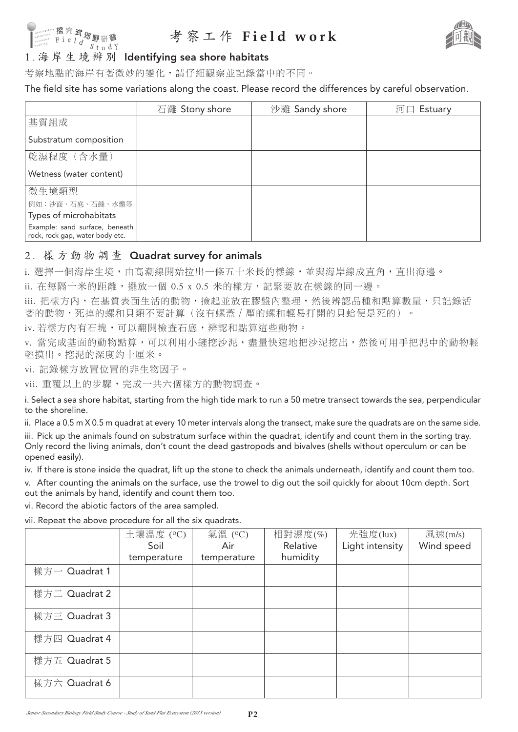

## 考察工作 **Field work**



考察地點的海岸有著微妙的變化,請仔細觀察並記錄當中的不同。

The field site has some variations along the coast. Please record the differences by careful observation.

|                                                                   | 石灘 Stony shore | 沙灘 Sandy shore | 河口 Estuary |
|-------------------------------------------------------------------|----------------|----------------|------------|
| 基質組成                                                              |                |                |            |
| Substratum composition                                            |                |                |            |
| 乾濕程度 (含水量)                                                        |                |                |            |
| Wetness (water content)                                           |                |                |            |
| 微生境類型                                                             |                |                |            |
| 例如:沙面、石底、石縫、水體等                                                   |                |                |            |
| Types of microhabitats                                            |                |                |            |
| Example: sand surface, beneath<br>rock, rock gap, water body etc. |                |                |            |

### 2. 樣方動物調查 Quadrat survey for animals

i. 選擇一個海岸生境,由高潮線開始拉出一條五十米長的樣線,並與海岸線成直角,直出海邊。

ii. 在每隔十米的距離,擺放一個 0.5 x 0.5 米的樣方,記緊要放在樣線的同一邊。

iii. 把樣方內, 在基質表面生活的動物, 檢起並放在膠盤內整理,然後辨認品種和點算數量,只記錄活 著的動物,死掉的螺和貝類不要計算(沒有螺蓋 / 厴的螺和輕易打開的貝蛤便是死的)。

iv. 若樣方內有石塊,可以翻開檢查石底,辨認和點算這些動物。

v. 當完成基面的動物點算,可以利用小鏟挖沙泥,盡量快速地把沙泥挖出,然後可用手把泥中的動物輕 輕摸出。挖泥的深度約十厘米。

vi. 記錄樣方放置位置的非生物因子。

vii. 重覆以上的步驟,完成一共六個樣方的動物調查。

i. Select a sea shore habitat, starting from the high tide mark to run a 50 metre transect towards the sea, perpendicular to the shoreline.

ii. Place a 0.5 m X 0.5 m quadrat at every 10 meter intervals along the transect, make sure the quadrats are on the same side. iii. Pick up the animals found on substratum surface within the quadrat, identify and count them in the sorting tray. Only record the living animals, don't count the dead gastropods and bivalves (shells without operculum or can be opened easily).

iv. If there is stone inside the quadrat, lift up the stone to check the animals underneath, identify and count them too.

v. After counting the animals on the surface, use the trowel to dig out the soil quickly for about 10cm depth. Sort out the animals by hand, identify and count them too.

vi. Record the abiotic factors of the area sampled.

vii. Repeat the above procedure for all the six quadrats.

|               | 土壤溫度 (°C)<br>Soil | 氣溫 (°C)<br>Air | 相對濕度(%)<br>Relative | 光強度(lux)<br>Light intensity | 風速(m/s)<br>Wind speed |
|---------------|-------------------|----------------|---------------------|-----------------------------|-----------------------|
|               | temperature       | temperature    | humidity            |                             |                       |
| 樣方一 Quadrat 1 |                   |                |                     |                             |                       |
| 樣方二 Quadrat 2 |                   |                |                     |                             |                       |
| 樣方三 Quadrat 3 |                   |                |                     |                             |                       |
| 樣方四 Quadrat 4 |                   |                |                     |                             |                       |
| 樣方五 Quadrat 5 |                   |                |                     |                             |                       |
| 樣方六 Quadrat 6 |                   |                |                     |                             |                       |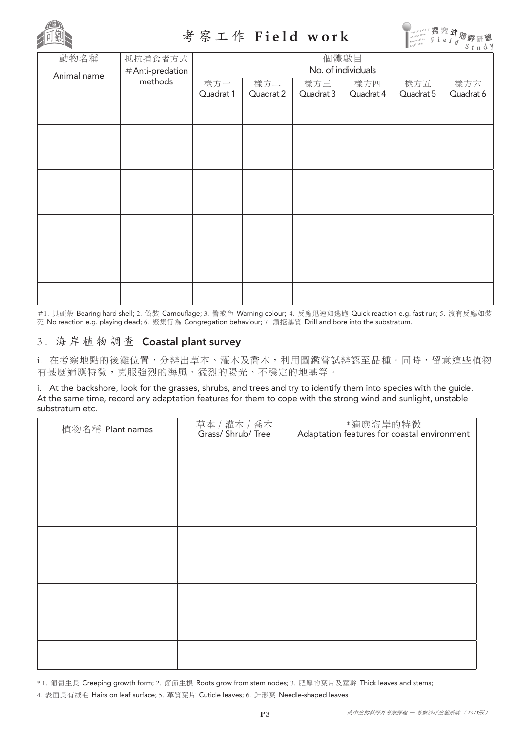

## 考察工作 **Field work**



| 動物名稱        | 抵抗捕食者方式<br>#Anti-predation<br>methods | 個體數目<br>No. of individuals |                  |                  |                  |                  |                  |  |
|-------------|---------------------------------------|----------------------------|------------------|------------------|------------------|------------------|------------------|--|
| Animal name |                                       | 樣方一<br>Quadrat 1           | 樣方二<br>Quadrat 2 | 樣方三<br>Quadrat 3 | 樣方四<br>Quadrat 4 | 樣方五<br>Quadrat 5 | 樣方六<br>Quadrat 6 |  |
|             |                                       |                            |                  |                  |                  |                  |                  |  |
|             |                                       |                            |                  |                  |                  |                  |                  |  |
|             |                                       |                            |                  |                  |                  |                  |                  |  |
|             |                                       |                            |                  |                  |                  |                  |                  |  |
|             |                                       |                            |                  |                  |                  |                  |                  |  |
|             |                                       |                            |                  |                  |                  |                  |                  |  |
|             |                                       |                            |                  |                  |                  |                  |                  |  |
|             |                                       |                            |                  |                  |                  |                  |                  |  |
|             |                                       |                            |                  |                  |                  |                  |                  |  |

#1. 具硬殼 Bearing hard shell; 2. 偽裝 Camouflage; 3. 警戒色 Warning colour; 4. 反應迅速如逃跑 Quick reaction e.g. fast run; 5. 沒有反應如裝 死 No reaction e.g. playing dead; 6. 聚集行為 Congregation behaviour; 7. 鑽挖基質 Drill and bore into the substratum.

## 3. 海岸植物調查 Coastal plant survey

i. 在考察地點的後灘位置,分辨出草本、灌木及喬木,利用圖鑑嘗試辨認至品種。同時,留意這些植物 有甚麼適應特徵,克服強烈的海風、猛烈的陽光、不穩定的地基等。

i. At the backshore, look for the grasses, shrubs, and trees and try to identify them into species with the guide. At the same time, record any adaptation features for them to cope with the strong wind and sunlight, unstable substratum etc.

| 植物名稱 Plant names | 草本 / 灌木 / 喬木<br>Grass/ Shrub/ Tree | *適應海岸的特徵<br>Adaptation features for coastal environment |
|------------------|------------------------------------|---------------------------------------------------------|
|                  |                                    |                                                         |
|                  |                                    |                                                         |
|                  |                                    |                                                         |
|                  |                                    |                                                         |
|                  |                                    |                                                         |
|                  |                                    |                                                         |
|                  |                                    |                                                         |
|                  |                                    |                                                         |
|                  |                                    |                                                         |
|                  |                                    |                                                         |

\* 1. 匍匐生長 Creeping growth form; 2. 節節生根 Roots grow from stem nodes; 3. 肥厚的葉片及莖幹 Thick leaves and stems;

4. 表面長有絨毛 Hairs on leaf surface; 5. 革質葉片 Cuticle leaves; 6. 針形葉 Needle-shaped leaves